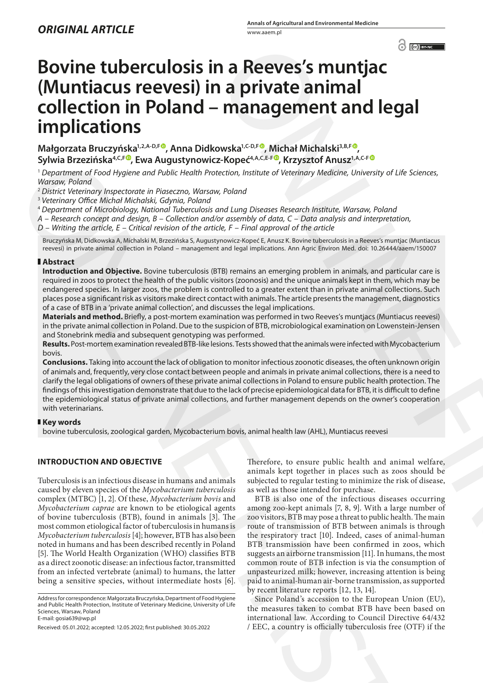# **Bovine tuberculosis in a Reeves's muntjac (Muntiacus reevesi) in a private animal collection in Poland – management and legal implications**

Małgorzata Bruczyńska<sup>1,2,A-D,F<sup>®</sup>, Anna Didkowska<sup>1,C-D,F®</sup>, Michał Michalski<sup>3,B,F®</sup>,</sup> Sylwia Brzezińska<sup>4, C,F</sub>®, Ewa Augustynowicz-Kopeć<sup>4, A, C, E-F®, Krzysztof Anusz<sup>1, A, C-F®</sup></sup></sup>

<sup>1</sup> *Department of Food Hygiene and Public Health Protection, Institute of Veterinary Medicine, University of Life Sciences, Warsaw, Poland*

<sup>2</sup> *District Veterinary Inspectorate in Piaseczno, Warsaw, Poland*

<sup>3</sup> *Veterinary Office Michał Michalski, Gdynia, Poland*

<sup>4</sup> *Department of Microbiology, National Tuberculosis and Lung Diseases Research Institute, Warsaw, Poland*

*A – Research concept and design, B – Collection and/or assembly of data, C – Data analysis and interpretation,* 

*D – Writing the article, E – Critical revision of the article, F – Final approval of the article*

Bruczyńska M, Didkowska A, Michalski M, Brzezińska S, Augustynowicz-Kopeć E, Anusz K. Bovine tuberculosis in a Reeves's muntjac (Muntiacus reevesi) in private animal collection in Poland – management and legal implications. Ann Agric Environ Med. doi: 10.26444/aaem/150007

## **Abstract**

**Introduction and Objective.** Bovine tuberculosis (BTB) remains an emerging problem in animals, and particular care is required in zoos to protect the health of the public visitors (zoonosis) and the unique animals kept in them, which may be endangered species. In larger zoos, the problem is controlled to a greater extent than in private animal collections. Such places pose a significant risk as visitors make direct contact with animals. The article presents the management, diagnostics of a case of BTB in a 'private animal collection', and discusses the legal implications.

**Materials and method.** Briefly, a post-mortem examination was performed in two Reeves's muntjacs (Muntiacus reevesi) in the private animal collection in Poland. Due to the suspicion of BTB, microbiological examination on Lowenstein-Jensen and Stonebrink media and subsequent genotyping was performed.

**Results.** Post-mortem examination revealed BTB-like lesions. Tests showed that the animals were infected with Mycobacterium bovis.

**Conclusions.** Taking into account the lack of obligation to monitor infectious zoonotic diseases, the often unknown origin of animals and, frequently, very close contact between people and animals in private animal collections, there is a need to clarify the legal obligations of owners of these private animal collections in Poland to ensure public health protection. The findings of this investigation demonstrate that due to the lack of precise epidemiological data for BTB, it is difficult to define the epidemiological status of private animal collections, and further management depends on the owner's cooperation with veterinarians.

## **Key words**

bovine tuberculosis, zoological garden, Mycobacterium bovis, animal health law (AHL), Muntiacus reevesi

## **INTRODUCTION AND OBJECTIVE**

Tuberculosis is an infectious disease in humans and animals caused by eleven species of the *Mycobacterium tuberculosis* complex (MTBC) [1, 2]. Of these, *Mycobacterium bovis* and *Mycobacterium caprae* are known to be etiological agents of bovine tuberculosis (BTB), found in animals [3]. The most common etiological factor of tuberculosis in humans is *Mycobacterium tuberculosis* [4]; however, BTB has also been noted in humans and has been described recently in Poland [5]. The World Health Organization (WHO) classifies BTB as a direct zoonotic disease: an infectious factor, transmitted from an infected vertebrate (animal) to humans, the latter being a sensitive species, without intermediate hosts [6]. Sympa Breaching Constraints and mathematical constraints and the sympatomic constraints are entirely a sympatomic formula constraints are entirely a sympatomic formula constraints are entirely a sympatomic behind to the c

Therefore, to ensure public health and animal welfare, animals kept together in places such as zoos should be subjected to regular testing to minimize the risk of disease, as well as those intended for purchase.

BTB is also one of the infectious diseases occurring among zoo-kept animals [7, 8, 9]. With a large number of zoo visitors, BTB may pose a threat to public health. The main route of transmission of BTB between animals is through the respiratory tract [10]. Indeed, cases of animal-human BTB transmission have been confirmed in zoos, which suggests an airborne transmission [11]. In humans, the most common route of BTB infection is via the consumption of unpasteurized milk; however, increasing attention is being paid to animal-human air-borne transmission, as supported by recent literature reports [12, 13, 14]. **C[O](https://orcid.org/0000-0003-1073-174X)[N](https://orcid.org/0000-0001-6075-5032)SERENCE CONSERENCE CONSERENCE CONSERENCE CONSERENCE CONSERENCE CONSERENCE CONSERENCE CONSERENCE CONSERENCE CONSERENCE CONSERENCE CONSERENCE CONSERENCE CONSERENCE CONSERENCE CONSERENCE CONSERENCE CONSERENCE CONSERENCE** 

Since Poland's accession to the European Union (EU), the measures taken to combat BTB have been based on international law. According to Council Directive 64/432 / EEC, a country is officially tuberculosis free (OTF) if the

Address for correspondence: Małgorzata Bruczyńska, Department of Food Hygiene and Public Health Protection, Institute of Veterinary Medicine, University of Life Sciences, Warsaw, Poland E-mail: gosia639@wp.pl

Received: 05.01.2022; accepted: 12.05.2022; first published: 30.05.2022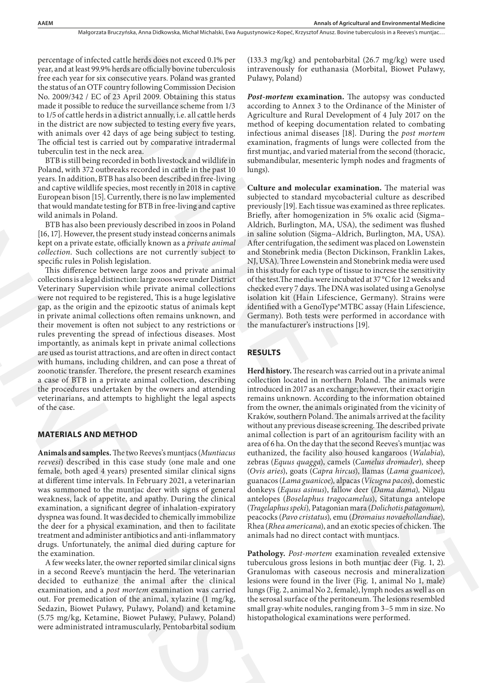Małgorzata Bruczyńska, Anna Didkowska, Michał Michalski, Ewa Augustynowicz-Kopeć, Krzysztof Anusz, Bovine tuberculosis in a Reeves's muntjac…

percentage of infected cattle herds does not exceed 0.1% per year, and at least 99.9% herds are officially bovine tuberculosis free each year for six consecutive years. Poland was granted the status of an OTF country following Commission Decision No. 2009/342 / EC of 23 April 2009. Obtaining this status made it possible to reduce the surveillance scheme from 1/3 to 1/5 of cattle herds in a district annually, i.e. all cattle herds in the district are now subjected to testing every five years, with animals over 42 days of age being subject to testing. The official test is carried out by comparative intradermal tuberculin test in the neck area.

BTB is still being recorded in both livestock and wildlife in Poland, with 372 outbreaks recorded in cattle in the past 10 years. In addition, BTB has also been described in free-living and captive wildlife species, most recently in 2018 in captive European bison [15]. Currently, there is no law implemented that would mandate testing for BTB in free-living and captive wild animals in Poland.

BTB has also been previously described in zoos in Poland [16, 17]. However, the present study instead concerns animals kept on a private estate, officially known as a *private animal collection*. Such collections are not currently subject to specific rules in Polish legislation.

This difference between large zoos and private animal collections is a legal distinction: large zoos were under District Veterinary Supervision while private animal collections were not required to be registered, This is a huge legislative gap, as the origin and the epizootic status of animals kept in private animal collections often remains unknown, and their movement is often not subject to any restrictions or rules preventing the spread of infectious diseases. Most importantly, as animals kept in private animal collections are used as tourist attractions, and are often in direct contact with humans, including children, and can pose a threat of zoonotic transfer. Therefore, the present research examines a case of BTB in a private animal collection, describing the procedures undertaken by the owners and attending veterinarians, and attempts to highlight the legal aspects of the case. BTH is sittle heroric condation between the minimal measurem and the same of the same of the same of the same of the same of the same of the same of the same of the same of the same of the same of the same of the same of

## **MATERIALS AND METHOD**

**Animals and samples.** The two Reeves's muntjacs (*Muntiacus reevesi*) described in this case study (one male and one female, both aged 4 years) presented similar clinical signs at different time intervals. In February 2021, a veterinarian was summoned to the muntjac deer with signs of general weakness, lack of appetite, and apathy. During the clinical examination, a significant degree of inhalation-expiratory dyspnea was found. It was decided to chemically immobilize the deer for a physical examination, and then to facilitate treatment and administer antibiotics and anti-inflammatory drugs. Unfortunately, the animal died during capture for the examination.

A few weeks later, the owner reported similar clinical signs in a second Reeve's muntjacin the herd. The veterinarian decided to euthanize the animal after the clinical examination, and a *post mortem* examination was carried out. For premedication of the animal, xylazine (1 mg/kg, Sedazin, Biowet Puławy, Puławy, Poland) and ketamine (5.75 mg/kg, Ketamine, Biowet Puławy, Puławy, Poland) were administrated intramuscularly, Pentobarbital sodium

(133.3 mg/kg) and pentobarbital (26.7 mg/kg) were used intravenously for euthanasia (Morbital, Biowet Puławy, Puławy, Poland)

*Post-mortem* **examination.** The autopsy was conducted according to Annex 3 to the Ordinance of the Minister of Agriculture and Rural Development of 4 July 2017 on the method of keeping documentation related to combating infectious animal diseases [18]. During the *post mortem* examination, fragments of lungs were collected from the first muntjac, and varied material from the second (thoracic, submandibular, mesenteric lymph nodes and fragments of lungs).

**Culture and molecular examination.** The material was subjected to standard mycobacterial culture as described previously [19]. Each tissue was examined as three replicates. Briefly, after homogenization in 5% oxalic acid (Sigma– Aldrich, Burlington, MA, USA), the sediment was flushed in saline solution (Sigma–Aldrich, Burlington, MA, USA). After centrifugation, the sediment was placed on Lowenstein and Stonebrink media (Becton Dickinson, Franklin Lakes, NJ, USA). Three Lowenstein and Stonebrink media were used in this study for each type of tissue to increse the sensitivity of the test.The media were incubated at 37°C for 12 weeks and checked every 7 days. The DNA was isolated using a Genolyse isolation kit (Hain Lifescience, Germany). Strains were identified with a GenoType®MTBC assay (Hain Lifescience, Germany). Both tests were performed in accordance with the manufacturer's instructions [19].

## **RESULTS**

**Herd history.** The research was carried out in a private animal collection located in northern Poland. The animals were introduced in 2017 as an exchange; however, their exact origin remains unknown. According to the information obtained from the owner, the animals originated from the vicinity of Kraków, southern Poland. The animals arrived at the facility without any previous disease screening. The described private animal collection is part of an agritourism facility with an area of 6 ha. On the day that the second Reeves's muntjac was euthanized, the facility also housed kangaroos (*Walabia*)*,* zebras (*Equus quagga*), camels (*Camelus dromader*)*,* sheep (*Ovis aries*), goats (*Capra hircus*), llamas (*Lama guanicoe*)*,* guanacos (*Lama guanicoe*)*,* alpacas (*Vicugna pacos*), domestic donkeys (*Equus asinus*), fallow deer (*Dama dama*)*,* Nilgau antelopes (*Boselaphus tragocamelus*), Sitatunga antelope (*Tragelaphus speki*)*,* Patagonian mara (*Dolichotis patagonum*)*,* peacocks (*Pavo cristatus*)*,* emu (*Dromaius novaehollandiae*)*,*  Rhea (*Rhea americana*), and an exotic species of chicken. The animals had no direct contact with muntjacs. evel catalyzatskihematikach protocol di Veper (1332) mp/kg) and pendodatini (267 mp/kg) were and<br>290 km/sharp from the catalyzation interactions in the catalyzation (i.e.<br>the catalyzation interactions in the catalyzation

**Pathology.** *Post-mortem* examination revealed extensive tuberculous gross lesions in both muntjac deer (Fig. 1, 2). Granulomas with caseous necrosis and mineralization lesions were found in the liver (Fig. 1, animal No 1, male) lungs (Fig. 2, animal No 2, female), lymph nodes as well as on the serosal surface of the peritoneum. The lesions resembled small gray-white nodules, ranging from 3–5 mm in size. No histopathological examinations were performed.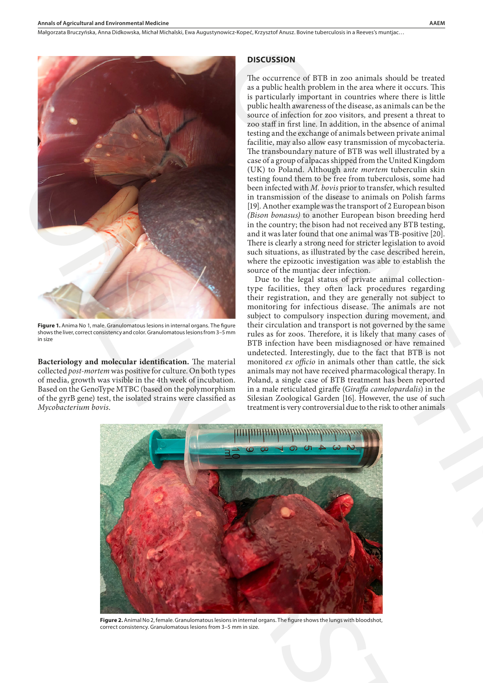Małgorzata Bruczyńska, Anna Didkowska, Michał Michalski, Ewa Augustynowicz-Kopeć , Krzysztof Anusz . Bovine tuberculosis in a Reeves's muntjac…



**Figure 1.** Anima No 1, male. Granulomatous lesions in internal organs. The figure shows the liver, correct consistency and color. Granulomatous lesions from 3–5 mm in size

**Bacteriology and molecular identification.** The material collected *post-mortem* was positive for culture. On both types of media, growth was visible in the 4th week of incubation. Based on the GenoType MTBC (based on the polymorphism of the gyrB gene) test, the isolated strains were classified as *Mycobacterium bovis*.

#### **DISCUSSION**

The occurrence of BTB in zoo animals should be treated as a public health problem in the area where it occurs. This is particularly important in countries where there is little public health awareness of the disease, as animals can be the source of infection for zoo visitors*,* and present a threat to zoo staff in first line. In addition, in the absence of animal testing and the exchange of animals between private animal facilitie, may also allow easy transmission of mycobacteria. The transboundary nature of BTB was well illustrated by a case of a group of alpacas shipped from the United Kingdom (UK) to Poland. Although a*nte mortem* tuberculin skin testing found them to be free from tuberculosis, some had been infected with *M. bovis* prior to transfer, which resulted in transmission of the disease to animals on Polish farms [19]. Another example was the transport of 2 European bison *(Bison bonasus)* to another European bison breeding herd in the country; the bison had not received any BTB testing, and it was later found that one animal was TB-positive [20]. There is clearly a strong need for stricter legislation to avoid such situations, as illustrated by the case described herein, where the epizootic investigation was able to establish the source of the muntjac deer infection. **DISCUSSION**<br>
The occurrence of BTB in zoo animals should be treated<br>
as a particularly improfiant in characteristic technical technical is its particularly improfiant in countries where the science. This<br>
peut control is

Due to the legal status of private animal collectiontype facilities, they often lack procedures regarding their registration, and they are generally not subject to monitoring for infectious disease. The animals are not subject to compulsory inspection during movement, and their circulation and transport is not governed by the same rules as for zoos. Therefore, it is likely that many cases of BTB infection have been misdiagnosed or have remained undetected. Interestingly, due to the fact that BTB is not monitored *ex officio* in animals other than cattle, the sick animals may not have received pharmacological therapy. In Poland, a single case of BTB treatment has been reported in a male reticulated giraffe (*Giraffa camelopardalis*) in the Silesian Zoological Garden [16]. However, the use of such treatment is very controversial due to the risk to other animals



**Figure 2.** Animal No 2, female. Granulomatous lesions in internal organs. The figure shows the lungs with bloodshot, correct consistency. Granulomatous lesions from 3–5 mm in size.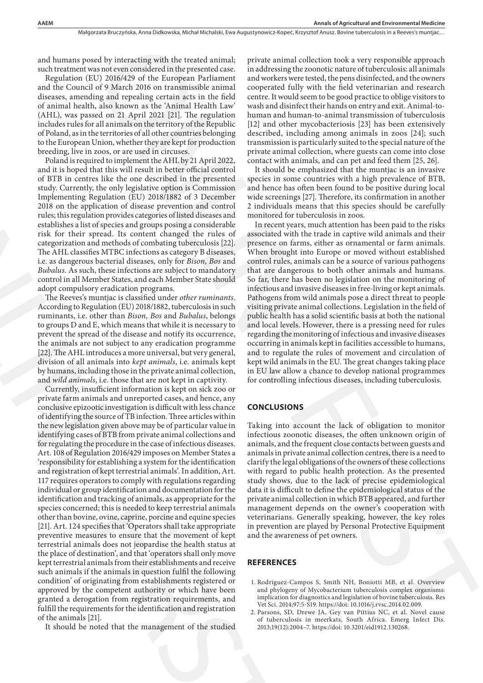and humans posed by interacting with the treated animal; such treatment was not even considered in the presented case.

Regulation (EU) 2016/429 of the European Parliament and the Council of 9 March 2016 on transmissible animal diseases, amending and repealing certain acts in the field of animal health, also known as the 'Animal Health Law' (AHL), was passed on 21 April 2021 [21]. The regulation includes rules for all animals on the territory of the Republic of Poland, as in the territories of all other countries belonging to the European Union, whether they are kept for production breeding, live in zoos, or are used in circuses.

Poland is required to implement the AHL by 21 April 2022, and it is hoped that this will result in better official control of BTB in centres like the one described in the presented study. Currently, the only legislative option is Commission Implementing Regulation (EU) 2018/1882 of 3 December 2018 on the application of disease prevention and control rules; this regulation provides categories of listed diseases and establishes a list of species and groups posing a considerable risk for their spread. Its content changed the rules of categorization and methods of combating tuberculosis [22]. The AHL classifies MTBC infections as category B diseases, i.e. as dangerous bacterial diseases*,* only for *Bison, Bos* and *Bubalus.* As such, these infections are subject to mandatory control in all Member States, and each Member State should adopt compulsory eradication programs.

The Reeves's muntjac is classified under *other ruminants*. According to Regulation (EU) 2018/1882, tuberculosis in such ruminants, i.e. other than *Bison, Bos* and *Bubalus*, belongs to groups D and E, which means that while it is necessary to prevent the spread of the disease and notify its occurrence, the animals are not subject to any eradication programme [22]. The AHL introduces a more universal, but very general, division of all animals into *kept animals*, i.e. animals kept by humans, including those in the private animal collection, and *wild animals*, i.e. those that are not kept in captivity.

Currently, insufficient information is kept on sick zoo or private farm animals and unreported cases, and hence, any conclusive epizootic investigation is difficult with less chance of identifying the source of TB infection. Three articles within the new legislation given above may be of particular value in identifying cases of BTB from private animal collections and for regulating the procedure in the case of infectious diseases. Art. 108 of Regulation 2016/429 imposes on Member States a 'responsibility for establishing a system for the identification and registration of kept terrestrial animals'. In addition, Art. 117 requires operators to comply with regulations regarding individual or group identification and documentation for the identification and tracking of animals, as appropriate for the species concerned; this is needed to keep terrestrial animals other than bovine, ovine, caprine, porcine and equine species [21]. Art. 124 specifies that 'Operators shall take appropriate preventive measures to ensure that the movement of kept terrestrial animals does not jeopardise the health status at the place of destination', and that 'operators shall only move kept terrestrial animals from their establishments and receive such animals if the animals in question fulfil the following condition' of originating from establishments registered or approved by the competent authority or which have been granted a derogation from registration requirements, and fulfill the requirements for the identification and registration of the animals [21]. al by interacting with the trented atmosche private animal collection took a very responsible approach.<br>
An other controller the transformation controller the controller took and the controller the controller took and the Poland is required to inspect the AH, by 21 April 2022. Contact the Sile theorem and it is beyed that this will result in He greented, in the second of Etimation and Section and New Correlation in the presented in the gre

It should be noted that the management of the studied

private animal collection took a very responsible approach in addressing the zoonotic nature of tuberculosis: all animals and workers were tested, the pens disinfected, and the owners cooperated fully with the field veterinarian and research centre. It would seem to be good practice to oblige visitors to wash and disinfect their hands on entry and exit. Animal-tohuman and human-to-animal transmission of tuberculosis [12] and other mycobacteriosis [23] has been extensively described, including among animals in zoos [24]; such transmission is particularly suited to the special nature of the private animal collection, where guests can come into close contact with animals, and can pet and feed them [25, 26].

It should be emphasized that the muntjac is an invasive species in some countries with a high prevalence of BTB, and hence has often been found to be positive during local wide screenings [27]. Therefore, its confirmation in another 2 individuals means that this species should be carefully monitored for tuberculosis in zoos.

In recent years, much attention has been paid to the risks associated with the trade in captive wild animals and their presence on farms, either as ornamental or farm animals. When brought into Europe or moved without established control rules, animals can be a source of various pathogens that are dangerous to both other animals and humans. So far, there has been no legislation on the monitoring of infectious and invasive diseases in free-living or kept animals. Pathogens from wild animals pose a direct threat to people visiting private animal collections. Legislation in the field of public health has a solid scientific basis at both the national and local levels. However, there is a pressing need for rules regarding the monitoring of infectious and invasive diseases occurring in animals kept in facilities accessible to humans, and to regulate the rules of movement and circulation of kept wild animals in the EU. The great changes taking place in EU law allow a chance to develop national programmes for controlling infectious diseases, including tuberculosis.

## **CONCLUSIONS**

Taking into account the lack of obligation to monitor infectious zoonotic diseases, the often unknown origin of animals, and the frequent close contacts between guests and animals in private animal collection centres, there is a need to clarify the legal obligations of the owners of these collections with regard to public health protection. As the presented study shows, due to the lack of precise epidemiological data it is difficult to define the epidemiological status of the private animal collection in which BTB appeared, and further management depends on the owner's cooperation with veterinarians. Generally speaking, however, the key roles in prevention are played by Personal Protective Equipment and the awareness of pet owners.

## **REFERENCES**

- 1. Rodriguez-Campos S, Smith NH, Boniotti MB, et al. Overview and phylogeny of Mycobacterium tuberculosis complex organisms: implication for diagnostics and legislation of bovine tuberculosis. Res Vet Sci. 2014;97:5-S19. https://doi: 10.1016/j.rvsc.2014.02.009.
- 2. Parsons, SD, Drewe JA, Gey van Pittius NC, et al. Novel cause of tuberculosis in meerkats, South Africa. Emerg Infect Dis. 2013;19(12):2004–7. https://doi: 10.3201/eid1912.130268.